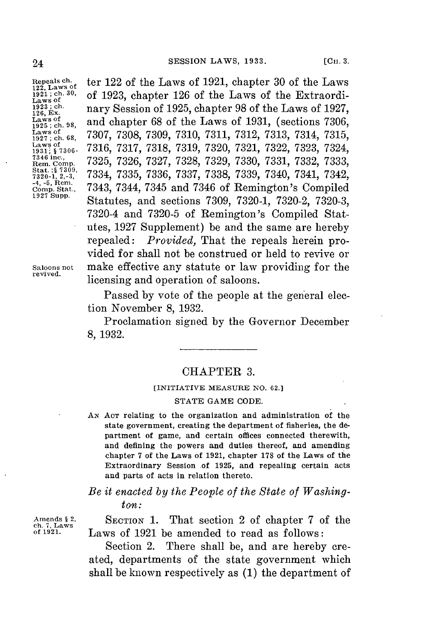126, Ex.<br>Laws of<br>1925 ; ch. 98. **<sup>1927</sup>**Lasa **;** 

**Repeals** ch. ter 122 of the Laws of **1921,** chapter **30** of the Laws **122, Laws of** <sup>1921; ch. 30,</sup> of 1923, chapter 126 of the Laws of the Extraordi-<br>Laws of the Laws of the Laws of 1927<br><sup>1923; ch.</sup> nary Sossion of 1925, chapter 98 of the Laws of 1927 1921; ch. <sup>307</sup>, of **1923, chapter 126 of the Laws of the Extraordinal Laws of <b>1927**<br>
1923; ch. **nary Session of 1925, chapter 98 of the Laws of 1927**<br>
1928, Ex.  $\begin{array}{c} \text{Laws of} \\ \text{1931, (sections 7306, 7307 7308 7300 7310 7311 7312 7313 7314 7315 \end{array}$  $\begin{array}{c} \text{Laws of} \\ 1927; \text{ ch. } 68, \quad 7307, \ 7308, \ 7309, \ 7310, \ 7311, \ 7312, \ 7313, \ 7314, \ 7315, \\ \text{Laws of} \\ 1931; \ 87306. \quad 7316, \ 7317, \ 7318, \ 7319, \ 7320, \ 7321, \ 7322, \ 7323, \ 7324, \\ 7346 \text{ inc.}, \quad 7325, \ 7326, \ 7327, \ 73$ Laws of<br>
1931; § 7306- 7316, 7317, 7318, 7319, 7320, 7321, 7322, 7323, 7324,<br>
7<sup>346</sup> inc.,<br>
Rem. Comp. 7325, 7326, 7327, 7328, 7329, 7330, 7331, 7332, 7333,<br>
5tat.:§ 730<sup>9</sup>, 7334, 7335, 7336, 7337, 7338, 7339, 7340, 7341, **Rem** .**Conp. 7325, 7326, 7327, 7328, 7329, 7330, 7331, 7332, 7333,** Stat :§ 7309, 7334, 7335, 7336, 7337, 7338, 7339, 7340, 7341, 7342, 7340, 7341, 7342, 74, -5, Rem.<br><sup>-4, -5, Rem.</sup>, 7343, 7344, 7345 and 7346 of Remington's Compiled<br><sup>Comp</sup>. Stat Supp. **Comp. Stat., 7343,** 7344, **7345** and **7346** of Remington's Compiled **1927 Supp.** Statutes, and sections **7309, 7320-1, 7320-2, 7320-3,** 7320-4 and **7320-5** of Remington's Compiled Statutes, **1927** Supplement) be and the same are hereby repealed: *Provided,* That the repeals herein provided **for** shall not be construed or held to revive or **Saloons not** make effective any statute or law providing **for** the licensing and operation of saloons.

> Passed **by** vote of the people at the general election November **8, 1932.**

> Proclamation signed **by** the Governor December **8, 1932.**

## CHAPTER **3.**

## **[INITIATIVE MEASURE NO. 62.]**

## **STATE GAME CODE.**

*AN* **ACT** relating to the organization and administration of the state government, creating the department of fisheries, the department of game, and certain offices connected therewith, and defining the powers and duties thereof, and amending chapter **7** of the Laws of **1921,** chapter **178** of the Laws of the Extraordinary Session of **1925,** and repealing certain acts and parts of acts in relation thereto.

*Be it enacted by the People of the State of Washington:*

Amends § 2, **SECTION 1.** That section 2 of chapter 7 of the ch. 7, Laws **of 1921.** Laws of **1921** be amended to read as follows:

> Section 2. There shall be, and are hereby created, departments of the state government which shall be known respectively as **(1)** the department of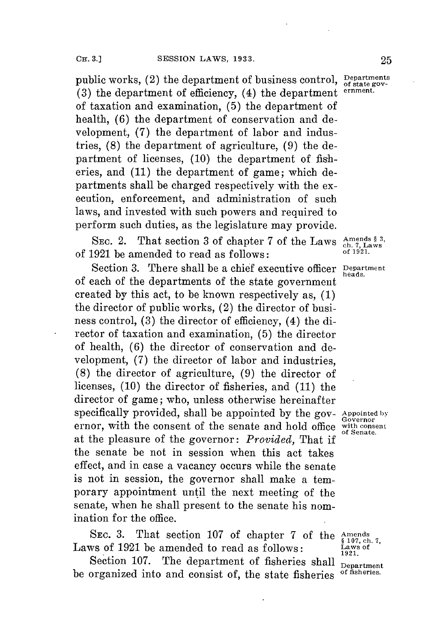public works, (2) the department of business control, **Departments (3)** the department of efficiency, (4) the department **ernment.** of taxation and examination, **(5)** the department of health, **(6)** the department **of** conservation and development, **(7)** the department of labor and industries, **(8)** the department of agriculture, **(9)** the department of licenses, **(10)** the department of fisheries, and **(11)** the department of game; which departments shall be charged respectively with the execution, enforcement, and administration of such laws, and invested with such powers and required to perform such duties, as the legislature may provide.

SEC. 2. That section 3 of chapter 7 of the Laws  $\frac{\text{Amen}}{\text{ch. 7}}$ of **1921** be amended to read as follows: **of 1921.**

Section **3.** There shall be a chief executive officer **Department** of each of the departments of the state government created **by** this act, to be known respectively as, **(1)** the director of public works, (2) the director of business control, **(3)** the director of efficiency, (4) the director of taxation and examination, **(5)** the director of health, **(6)** the director of conservation and development, **(7)** the director of labor and industries, **(8)** the director of agriculture, **(9)** the director of licenses, **(10)** the director of fisheries, and **(11)** the director of game; who, unless otherwise hereinafter specifically provided, shall be appointed by the gov- Appointed by ernor, with the consent of the senate and hold office with consent ernor, with the consent of the senate and hold office with consenter at the pleasure of the governor: *Provided,* That if the senate be not in session when this act takes effect, and in case a vacancy occurs while the senate is not in session, the governor shall make a temporary appointment until the next meeting of the senate, when he shall present to the senate his nomination for the office.

SEC. 3. That section 107 of chapter 7 of the Amends Laws of 1921 be amended to read as follows:  $\frac{\text{Laws of}}{\text{1921}}$ 

Section 107. The department of fisheries shall **Department**<br>
organized into and consist of the state fisheries of fisheries. be organized into and consist of, the state fisheries.

heads,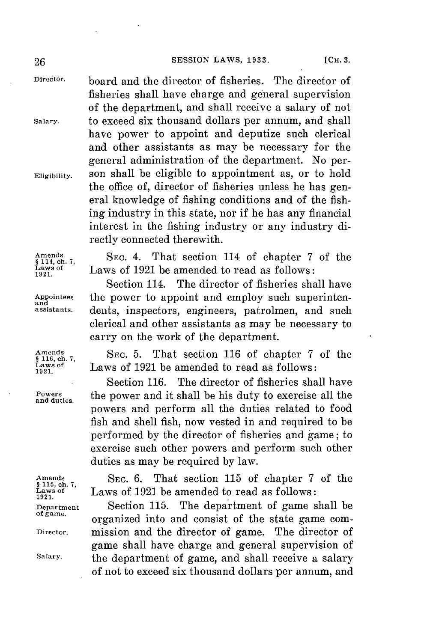**Director,** board and the director of fisheries. The director of fisheries shall have charge and general supervision of the department, and shall receive a salary of not **Salary.** to exceed six thousand dollars per annum, and shall have power to appoint and deputize such clerical and other assistants as may be necessary for the general administration of the department. No per-**Eligibility.** son shall be eligible to appointment as, or to hold the office of, director of fisheries unless he has general knowledge of fishing conditions and of the fishing industry in this state, nor if he has any financial interest in the fishing industry or any industry directly connected therewith.

Amends SEC. 4. That section 114 of chapter 7 of the same of 1991 he amended to read as follows: Laws of 1921 be amended to read as follows:<br> **1921** Section 114. The director of fisheries sha

The director of fisheries shall have Appointees the power to appoint and employ such superinten-<br>assistants. dents inspectors engineers patrolmen, and such dents, inspectors, engineers, patrolmen, and such clerical and other assistants as may be necessary to carry on the work of the department.

Amends **SEC.** 5. That section 116 of chapter 7 of the **pairs** 106, ch. 7, Laws of **Laws** of 1921 be amended to read as follows:<br> **1921** Section 116. The director of fisheries sha

The director of fisheries shall have **Powers** the power and it shall be his duty to exercise all the **and duties.** powers and perform all the duties related to food fish and shell fish, now vested in and required to be performed **by** the director of fisheries and game; to exercise such other powers and perform such other duties as may be required **by** law.

Amends SEC. 6, That section 115 of chapter 7 of the ships of 1921 be amended to read as follows: **Laws of** Laws of **1921** be amended to read as follows: **1921.**

**Department** Section **115.** The department of game shall be **of game.** organized into and consist of the state game com-**Director.** mission and the director of game. The director of game shall have charge and general supervision of **Salary.** the department of game, and shall receive a salary of not to exceed six thousand dollars per annum, and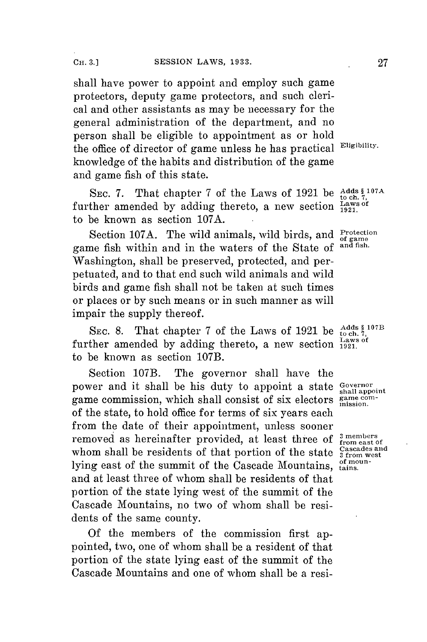shall have power to appoint and employ such game protectors, deputy game protectors, and such clerical and other assistants as may be necessary for the general administration of the department, and no person shall be eligible to appointment as or hold the office of director of game unless he has practical Eligibility. knowledge of the habits and distribution of the game and game fish of this state.

SEC. 7. That chapter 7 of the Laws of 1921 be Adds \$107A further amended by adding thereto, a new section  $\frac{\text{Laws}}{1921}$ to be known as section **107A.**

Section 107A. The wild animals, wild birds, and Protection of game game fish within and in the waters of the State **of** ant fish. Washington, shall be preserved, protected, and perpetuated, and to that end such wild animals and wild birds and game fish shall not be taken at such times or places or **by** such means or in such manner as will impair the supply thereof.

SEC. 8. That chapter 7 of the Laws of 1921 be  $^{Adds}_{\text{to ch. 7,}}$ further amended by adding thereto, a new section  $\frac{\text{Laws of}}{1921}$ to be known as section **107B.**

Section **107B.** The governor shall have the power and it shall be his duty to appoint a state Governor game commission, which shall consist of six electors game comof the state, to hold office **for** terms of six years each from the date of their appointment, unless sooner removed as hereinafter provided, at least three of  $\frac{3 \text{ members}}{1 \text{ from east of }}$ whom shall be residents of that portion of the state  $\frac{Gascades}{3 from west}$ lying east of the summit of the Cascade Mountains, of mounand at least three of whom shall be residents of that portion of the state lying west of the summit of the Cascade Mountains, no two of whom shall be residents of the same county.

**Of** the members of the commission first appointed, two, one of whom shall be a resident of that portion of the state lying east of the summit of the Cascade Mountains and one of whom shall be a resi-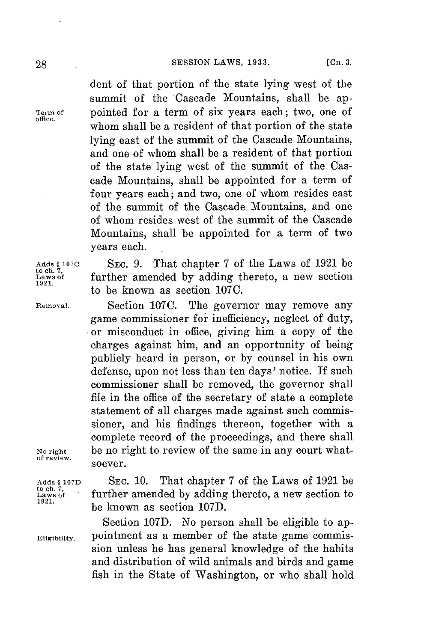dent of that portion of the state lying west of the summit of the Cascade Mountains, shall be ap-**Term of** pointed for a term of six years each; two, one of whom shall be a resident of that portion of the state lying east of the summit of the Cascade Mountains, and one of whom shall be a resident of that portion of the state lying west of the summit of the Cascade Mountains, shall be appointed for a term of four years each; and two, one of whom resides east of the summit of the Cascade Mountains, and one of whom resides west of the summit of the Cascade Mountains, shall be appointed for a term of two years each.

**Adds § 107C SEC. 9.** That chapter **7** of the Laws of **1921** be further amended by adding thereto, a new section to be known as section **107C.**

**Removal.** Section **107C.** The governor may remove any game commissioner for inefficiency, neglect of duty, **.or** misconduct in office, giving him a copy of the charges against him, and an opportunity of being publicly heard in person, or **by** counsel in his own defense, upon not less than ten days' notice. **If** such commissioner shall be removed, the governor shall file in the office of the secretary of state a complete statement of all charges made against such commissioner, and his findings thereon, together with a complete record of the proceedings, and there shall **No right** be no right to review of the same in any court whatsoever.

**of review.**

**Adds § 107D SEC. 10.** That chapter **7** of the Laws of **1921** be to **ch. 7** a **Laws of** further amended **by** adding thereto, a new section to **1921. 1921. be known as section 107D.** 

Section 107D. No person shall be eligible to ap-Eligibility. pointment as a member of the state game commission unless he has general knowledge of the habits and distribution of wild animals and birds and game fish in the State of Washington, or who shall hold

**office.**

**to ch. 7 1921.**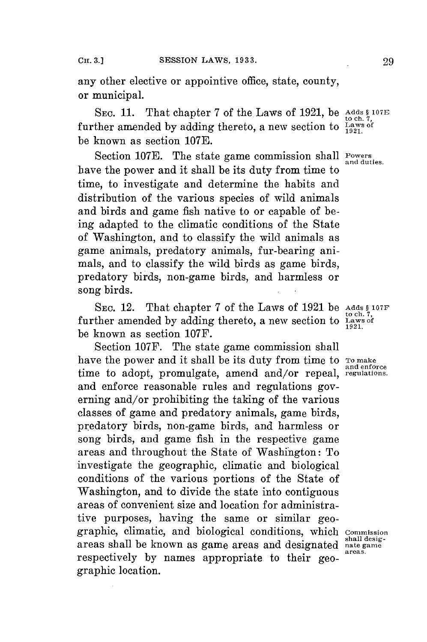any other elective or appointive office, state, county, or municipal.

**SEC. 11.** That chapter **7** of the Laws of **1921,** be **Adds § 107E to ch.**  $\bar{r}_1$  and  $\bar{r}_2$  changed **change of**  $\bar{r}_2$  and  $\bar{r}_3$  are  $\bar{r}_4$  to ch.  $\bar{r}_5$  further amended by adding thereto, a new section to  $\frac{L_{\text{av}}}{1921}$ be known as section **107E.**

Section 107E. The state game commission shall Powers have the power and it shall be its duty from time to time, to investigate and determine the habits and distribution of the various species of wild animals and birds and game fish native to or capable of being adapted to the climatic conditions of the State of Washington, and to classify the wild animals as game animals, predatory animals, fur-bearing animals, and to classify the wild birds as game birds, predatory birds, non-game birds, and harmless or song birds.

**SEc.** 12. That chapter **7** of the Laws of **1921** be **Adds § 107F** further amended by adding thereto, a new section to **Laws** of be known as section **107F.**

Section **107F.** The state game commission shall have the power and it shall be its duty from time to **To make** and enforce time to adopt, promulgate, amend and/or repeal, regulations. and enforce reasonable rules and regulations governing and/or prohibiting the taking of the various classes of game and predatory animals, game birds, predatory birds, non-game birds, and harmless or song birds, and game fish in the respective game areas and throughout the State of Washington: To investigate the geographic, climatic and biological conditions of the various portions of the State of Washington, and to divide the state into contiguous areas of convenient size and location for administrative purposes, having the same or similar geographic, climatic, and biological conditions, which **Commission** areas shall be known as game areas and designated nate game<br>respectively by names appropriate to their geographic location.

and duties,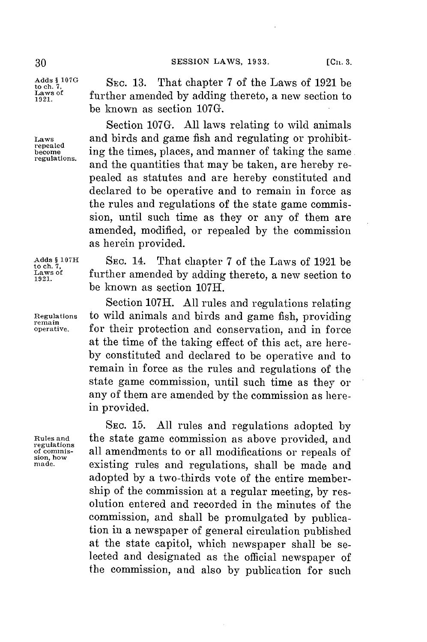Laws of<br>1921.

Adds \$ 107G<br>to ch. 7,<br>Laws of **SEC. 13.** That chapter 7 of the Laws of 1921 be<br>Laws of **further amended** by adding thereto a new section to Laws of further amended by adding thereto, a new section to be known as section **107G.**

Section **107G. All** laws relating to wild animals **Laws** and birds and game fish and regulating or prohibit- **repealed become** ing the times, places, and manner of taking the same regulations. and the quantities that may be taken, are hereby repealed as statutes and are hereby constituted and declared to be operative and to remain in force as the rules and regulations of the state game commission, until such time as they or any of them are amended, modified, or repealed **by** the commission as herein provided.

Adds \$ 107H SEC. 14. That chapter 7 of the Laws of 1921 be <br>
Laws of **further amended by adding thereto, a** new section to 1921 be known as section **107H.**

Section **107H. All** rules and regulations relating **Regulations** to wild animals and birds and game fish, providing **remain** for their protection and conservation, and in force at the time of the taking effect of this act, are here**by** constituted and declared to be operative and to remain in force as the rules and regulations of the state game commission, until such time as they or any of them are amended **by** the commission as herein provided.

**SEC. 15. All** rules and regulations adopted **by Rules and** the state game commission as above provided, and **regulations** sion, how and amendments to or all modifications or repeals or made. existing rules and regulations, shall be made and adopted **by** a two-thirds vote of the entire membership of the commission at a regular meeting, **by** resolution entered and recorded in the minutes of the commission, and shall be promulgated **by** publication in a newspaper of general circulation published at the state capitol, which newspaper shall be selected and designated as the official newspaper of the commission, and also **by** publication for such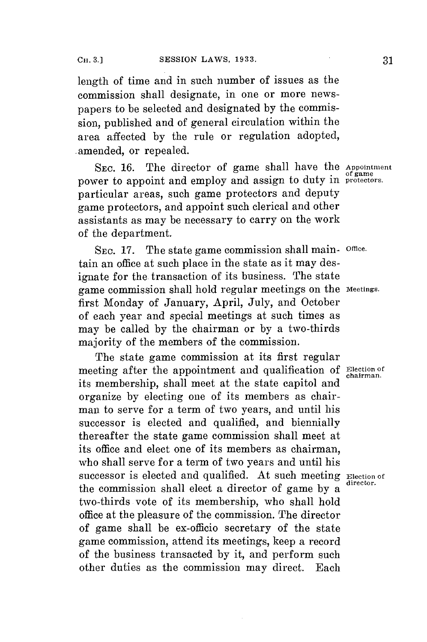length of time and in such number of issues as the commission shall designate, in one or more newspapers to be selected and designated **by** the commission, published and of general circulation within the area affected **by** the rule or regulation adopted, .amended, or repealed.

**SEC. 16.** The director of game shall have the **Appointment** power to appoint and employ and assign to duty in protectors. particular areas, such game protectors and deputy game protectors, and appoint such clerical and other assistants as may be necessary to carry on the work of the department.

**SEC. 17.** The state game commission shall main- **Office.** tain an office at such place in the state as it may designate for the transaction of its business. The state game commission shall hold regular meetings on the **meetings.** first Monday of January, April, July, and October of each year and special meetings at such times as may be called **by** the chairman or **by** a two-thirds majority of the members of the commission.

The state game commission at its first regular meeting after the appointment and qualification of **Election** of its membership, shall meet at the state capitol and organize **by** electing one of its members as chairman to serve for a term of two years, and until his successor is elected and qualified, and biennially thereafter the state game commission shall meet at its office and elect one of its members as chairman, who shall serve for a term of two years and until his successor is elected and qualified. At such meeting **Election** of the commission shall elect a director of game by a two-thirds vote of its membership, who shall hold office at the pleasure of the commission. The director of game shall be ex-officio secretary of the state game commission, attend its meetings, keep a record of the business transacted **by** it, and perform such other duties as the commission may direct. Each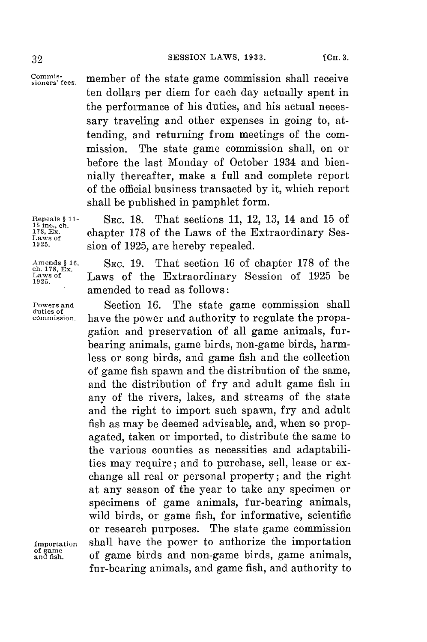Commis-<br>sioners' fees. member of the state game commission shall receive ten dollars per diem for each day actually spent in the performance of his duties, and his actual necessary traveling and other expenses in going to, attending, and returning from meetings of the commission. The state game commission shall, on or before the last Monday of October 1934 and biennially thereafter, make a full and complete report of the official business transacted **by** it, which report shall be published in pamphlet form.

**ch. 178, Ex.**

**duties of**

**Repeals § 11- SEC. 18.** That sections **11,** 12, **13,** 14 and **15** of **15 inc., ch.** 178, Ex. chapter 178 of the Laws of the Extraordinary Ses-<br>Laws of **Laws** of 1925, are hereby repealed **1925.** sion of **1925,** are hereby repealed.

**Amends § 16, SEC. 19.** That section **16** of chapter **178** of the Laws of the Extraordinary Session of 1925 be 1925. amended to read as follows:

**Powers and** Section **16.** The state game commission shall have the power and authority to regulate the propagation and preservation of all game animals, furbearing animals, game birds, non-game birds, harmless or song birds, and game fish and the collection of game fish spawn and the distribution of the same, and the distribution of fry and adult game fish in any of the rivers, lakes, and streams of the state and the right to import such spawn, **fry** and adult fish as may be deemed advisable, and, when so propagated, taken or imported, to distribute the same to the various counties as necessities and adaptabilities may require; and to purchase, sell, lease or exchange all real or personal property; and the right at any season of the year to take any specimen or specimens of game animals, fur-bearing animals, wild birds, or game fish, for informative, scientific or research purposes. The state game commission Importation shall have the power to authorize the importation of game **and s.** of game birds and non-game birds, game animals, fur-bearing animals, and game fish, and authority to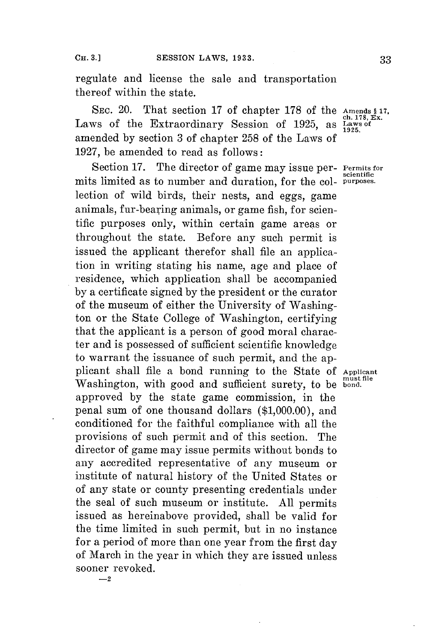regulate and license the sale and transportation thereof within the state.

SEC. 20. That section 17 of chapter 178 of the Amends § 17, Laws of the Extraordinary Session of 1925, as  $\frac{\text{cm}}{\text{Laws}}$ amended **by** section **3** of chapter **258** of the Laws of **1927,** be amended to read as follows:

Section **17.** The director of game may issue per- **Permits for** mits limited as to number and duration, for the col- **purposes.** lection of wild birds, their nests, and eggs, game animals, fur-bearing animals, or game fish, **for** scientific purposes only, within certain game areas or throughout the state. Before any such permit is issued the applicant therefor shall file an application in writing stating his name, age and place of residence, which application shall be accompanied **by** a certificate signed **by** the president or the curator of the museum of either the University of Washington or the State College of Washington, certifying that the applicant is a person of good moral character and is possessed of sufficient scientific knowledge to warrant the issuance of such permit, and the applicant shall file a bond running to the State **of Applicant** Washington, with good and sufficient surety, to be **bond**. approved **by** the state game commission, in the penal sum of one thousand dollars **(\$1,000.00),** and conditioned for the faithful compliance with all the provisions of such permit and of this section. The director of game may issue permits without bonds to any accredited representative of any museum or institute of natural history of the United States or of any state or county presenting credentials under the seal of such museum or institute. **All** permits issued as hereinabove provided, shall be valid for the time limited in such permit, but in no instance **for** a period of more than one year from the first day of March in the year in which they are issued unless sooner revoked.

**scientific**

**-2**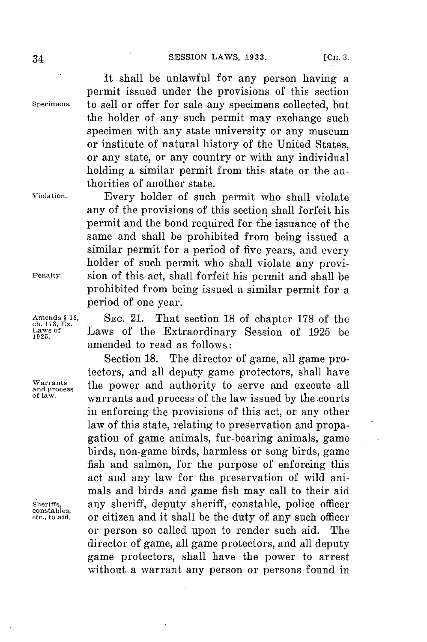## **SESSION LAWS, 1933.** [CH. 3.

It shall be unlawful **for** any person having a permit issued under the provisions of this section **Specimens.** to sell or offer for sale any specimens collected, but the holder of any such permit may exchange such specimen with any state university or any museum or institute of natural history of the United States, or any state, or any country or with any individual holding a similar permit from this state or the authorities of another state.

**Violation.** Every holder of such permit who shall violate any of the provisions of this section shall forfeit his permit and the bond required for the issuance of the same and shall be prohibited from being issued a similar permit for a period of five years, and every holder of such permit who shall violate any provi-**Penalty.** sion of this act, shall forfeit his permit and shall be prohibited from being issued a similar permit for a period of one year.

Amends § 18, Sec. 21. That section 18 of chapter 178 of the **chapter**  $\frac{178}{2}$  and **Chapter Case of the Extraordinary** Session of 1925 be **Laws of** Laws of the Extraordinary Session of **1925** be **1925.** amended to read as follows:

Section **18.** The director of game, all game protectors, and all deputy game protectors, shall have  $\frac{Warrants}{and}$  the power and authority to serve and execute all  $\frac{d}{dx}$ warrants and process of the law issued by the courts in enforcing the provisions of this act, or any other law of this state, relating to preservation and propagation of game animals, fur-bearing animals, game birds, non-game birds, harmless or song birds, game fish and salmon, for the purpose of enforcing this act and any law for the preservation of wild animals and birds and game fish may call to their aid sheriffs, any sheriff, deputy sheriff, constable, police officer or citizen and it shall be the duty of any such officer or person so called upon to render such aid. The director of game, all game protectors, and all deputy game protectors, shall have the power to arrest without a warrant any person or persons found in

**constables,**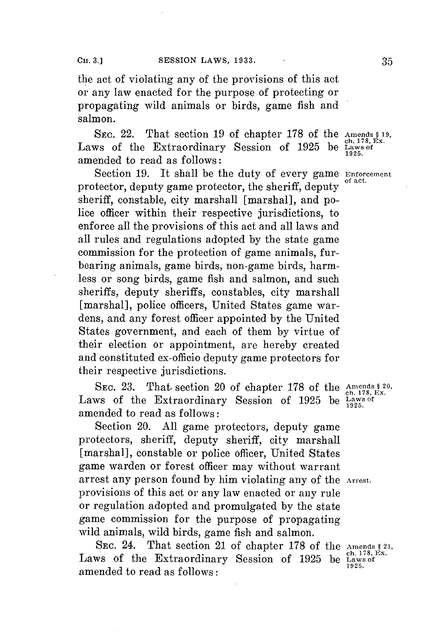the act of violating any of the provisions of this act or any law enacted for the purpose of protecting or propagating wild animals or birds, game fish and salmon.

**SEC.** 22. That section **19** of chapter **178** of the **Amends § 19, ch. 178, Ex.** Laws of the Extraordinary Session of **1925** be **Laws of** amended to read as follows:

Section **19.** It shall be the duty of every game **Enforcement** protector, deputy game protector, the sheriff, deputy sheriff, constable, city marshall [marshal], and police officer within their respective jurisdictions, to enforce all the provisions of this act and all laws and all rules and regulations adopted **by** the state game commission for the protection of game animals, furbearing animals, game birds, non-game birds, harmless or song birds, game fish and salmon, and such sheriffs, deputy sheriffs, constables, city marshall [marshal], police officers, United States game wardens, and any forest officer appointed **by** the United States government, and each of them **by** virtue of their election or appointment, are hereby created and constituted ex-officio deputy game protectors for their respective jurisdictions.

**SEC. 23.** That. section 20 of chapter **178** of the **Amends § 20,** ch. **178,** Ex. Laws of the Extraordinary Session of 1925 be  $\frac{L}{1925}$ amended to read as follows:

Section 20. **All** game protectors, deputy game protectors, sheriff, deputy sheriff, city marshall [marshal], constable or police officer, United States game warden or forest officer may without warrant arrest any person found **by** him violating any of the **Arrest.** provisions of this act or any law enacted or any rule or regulation adopted and promulgated **by** the state game commission for the purpose of propagating wild animals, wild birds, game fish and salmon.

SEC. 24. That section 21 of chapter 178 of the Amends § 21,<br>ws of the Extraordinary Session of 1925 be Laws of Laws of the Extraordinary Session of 1925 amended to read as follows:

**1925.**

**of act.**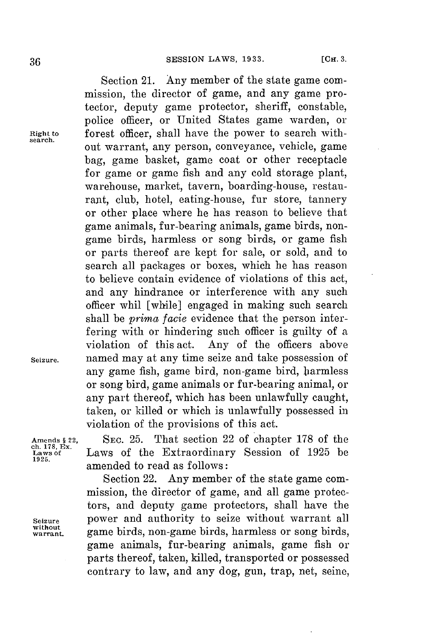Section 21. Any member of the state game commission, the director of game, and any game protector, deputy game protector, sheriff, constable, police officer, or United States game warden, or **Right to** forest officer, shall have the power to search without warrant, any person, conveyance, vehicle, game bag, game basket, game coat or other receptacle **for** game or game fish and any cold storage plant, warehouse, market, tavern, boarding-house, restaurant, club, hotel, eating-house, fur store, tannery or other place where he has reason to believe that game animals, fur-bearing animals, game birds, nongame birds, harmless or song birds, or game fish or parts thereof are kept for sale, or sold, and to search all packages or boxes, which he has reason to believe contain evidence of violations of this act, and any hindrance or interference with any such officer whil [while] engaged in making such search shall be *prima facie* evidence that the person interfering with or hindering such officer is guilty of a violation of this act. Any of the officers above **Seizure.** named may at any time seize and take possession of any game fish, game bird, non-game bird, barmless or song bird, game animals or fur-bearing animal, or any part thereof, which has been unlawfully caught, taken, or killed or which is unlawfully possessed in violation of the provisions of this act.

**Amends § 22,** SEc. **25.** That section 22 of chapter **178** of the **Laws of** Laws of the Extraordinary Session of **1925** be amended to read as follows:

Section 22. Any member of the state game commission, the director of game, and all game protectors, and deputy game protectors, shall have the **Seizure** power and authority to seize without warrant all **warrant.** game birds, non-game birds, harmless or song birds, game animals, fur-bearing animals, game fish or parts thereof, taken, killed, transported or possessed contrary to law, and any dog, gun, trap, net, seine,

**ch. 178, Ex 1925.**

**without**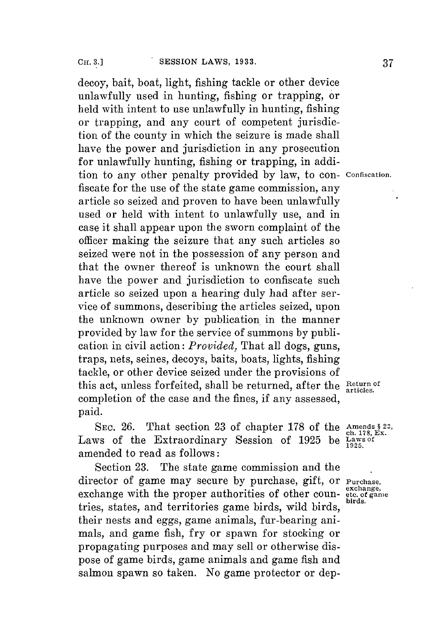decoy, bait, boat, light, fishing tackle or other device unlawfully used in hunting, fishing or trapping, or held with intent to use unlawfully in hunting, fishing or trapping, and any court of competent jurisdiction of the county in which the seizure is made shall have the power and jurisdiction in any prosecution for unlawfully hunting, fishing or trapping, in addition to any other penalty provided **by** law, to con- **confiscation.** fiscate **for** the use of the state game commission, any article so seized and proven to have been unlawfully used or held with intent to unlawfully use, and in case it shall appear upon the sworn complaint of the officer making the seizure that any such articles so seized were not in the possession of any person and that the owner thereof is unknown the court shall have the power and jurisdiction to confiscate such article so seized upon a hearing duly had after service **of** summons, describing the articles seized, upon the unknown owner **by** publication in the manner provided **by** law for the service of summons **by** publication in civil action: *Provided,* That all dogs, guns, traps, nets, seines, decoys, baits, boats, lights, fishing tackle, or other device seized under the provisions of this act, unless forfeited, shall be returned, after the  $R_{\text{atticles}}^{\text{Return of}}$ completion of the case and the fines, if any assessed, paid.

SEC. 26. That section 23 of chapter 178 of the  $\Delta \text{S}$ <sub>ch. 178</sub>, Ex. Laws of the Extraordinary Session of 1925 be Laws of the Laws of amended to read as follows:

Section **23.** The state game commission and the director of game may secure by purchase, gift, or Purchase, exchange, exchange,  $\frac{exchange}{earchange}$ exchange with the proper authorities of other coun- etc. of game tries, states, and territories game birds, wild birds, their nests and eggs, game animals, fur-bearing animals, and game fish, **fry** or spawn **for** stocking or propagating purposes and may sell or otherwise dispose of game birds, game animals and game fish and salmon spawn so taken. No game protector or dep-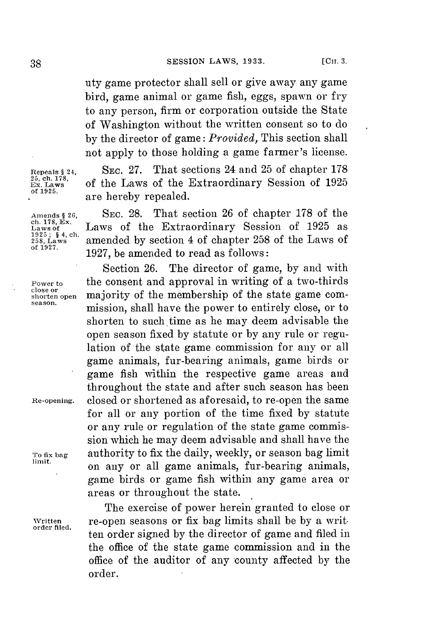uty game protector shall sell or give away any game bird, game animal or game fish, eggs, spawn or fry to any person, firm or corporation outside the State of Washington without the written consent so to do **by** the director of game: *Provided,* This section shall not apply to those holding a game farmer's license.

Repeals § 24, **SEC. 27.** That sections 24 and 25 of chapter 178<br>
<sup>25</sup>, ch. 178, Ex. Laws of the Laws of the Extraordinary Session of 1925<br>
of 1925 **25, ch. 178,** Exrodnayo **Ex. Laws** of the Laws of the Extraordinary Session of **<sup>1925</sup>** are hereby repealed.

**Amends § 26, SEC. 28.** That section **26** of chapter **178** of the **ch. 178,** Ex.Exrodnyof a **Laws of** Laws of the Extraordinary Session of **1925** as **258, Laws** amended **by** section 4 of chapter **258** of the Laws of **of 1927. 1927,** be amended to read as follows:

Section **26.** The director of game, **by** and with **Power to** the consent and approval in writing of a two-thirds close or **close or shorten open** majority of the membership of the state game com- season. mission, shall have the power to entirely close, or to shorten to such time as he may deem advisable the open season fixed **by** statute or **by** any rule or regulation of the state game commission for any or all game animals, fur-bearing animals, game birds or game fish within the respective game areas and throughout the state and after such season has been **Re-opening.** closed or shortened as aforesaid, to re-open the same **for** all or any portion of the time fixed **by** statute or any rule or regulation of the state game commission which he may deem advisable and shall have the **To fix bag** authority to fix the daily, weekly, or season bag limit on any or all game animals, fur-bearing animals, game birds or game fish within any game area or areas or throughout the state.

The exercise of power herein granted to close or **written** re-open seasons or fix bag limits shall be **by** a written order signed **by** the director of game and filed in the office of the state game commission and in the office of the auditor of any county affected **by** the order.

Laws of<br>1925 ; § 4, ch.<br>258, Laws<br>of 1927.

**order filed.**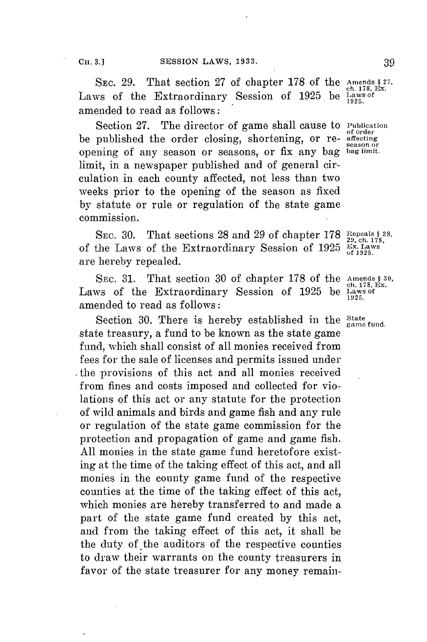SEC. 29. That section 27 of chapter 178 of the Amends  $\S$ <sup>27</sup>, Ex. Laws of the Extraordinary Session of **1925** be **Laws of** amended to read as follows:

Section **27.** The director of game shall cause to **Publication** be published the order closing, shortening, or re- **affecting** opening of any season or seasons, or fix any bag **bag limit.** limit, in a newspaper published and of general circulation in each county affected, not less than two weeks prior to the opening of the season as fixed **by** statute or rule or regulation of the state game commission.

SEC. **30.** That sections **28** and **29 of** chapter **178 Repeals § 28,** of the Laws of the Extraordinary Session of 1925  $\frac{Ex}{a}$ , Laws are hereby repealed.

SEC. 31. That section 30 of chapter 178 of the Amends § 30,<br>ws of the Extraordinary Session of 1925 be Laws of Laws of the Extraordinary Session of 1925 be amended to read as follows:

Section 30. There is hereby established in the <sup>State</sup> range fund. state treasury, a fund to be known as the state game fund, which shall consist of all monies received from fees **for** the sale of licenses and permits issued under . the provisions of this act and all monies received from fines and costs imposed and collected for violations of this act or any statute for the protection of wild animals and birds and game fish and any rule or regulation of the state game commission for the protection and propagation of game and game fish. **All** monies in the state game fund heretofore existing at the time of the taking effect of this act, and all monies in the county game fund of the respective counties at the time of the taking effect of this act, which monies are hereby transferred to and made a part of the state game fund created **by** this act, and from the taking effect of this act, it shall be the duty of the auditors of the respective counties to draw their warrants on the county treasurers in favor of the state treasurer for any money remain-

**of order season or**

**1925.**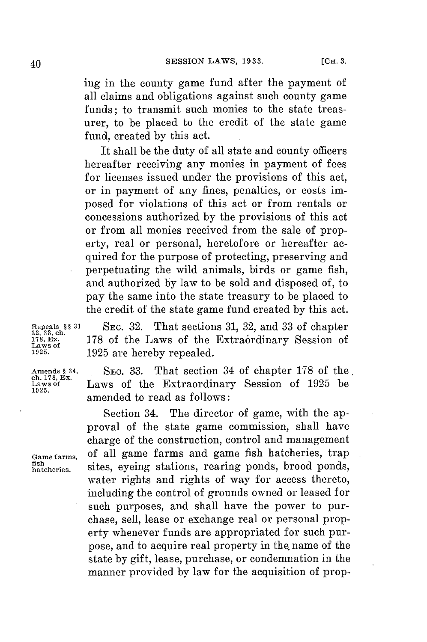ing in the county game fund after the payment of all claims and obligations against such county game funds; to transmit such monies to the state treasurer, to be placed to the credit of the state game fund, created **by** this act.

It shall be the duty of all state and county officers hereafter receiving any monies in payment of fees for licenses issued under the provisions of this act, or in payment of any fines, penalties, or costs imposed for violations of this act or from rentals or concessions authorized **by** the provisions of this act or from all monies received from the sale of property, real or personal, heretofore or hereafter acquired for the purpose of protecting, preserving and perpetuating the wild animals, birds or game fish, and authorized **by** law to be sold and disposed of, to pay the same into the state treasury to be placed to the credit of the state game fund created **by** this act.

**Repeals §§ 31** SEc. **32.** That sections **31, 32,** and **33** of chapter **32, 33, ch.** <sup>178</sup>, Ex. **178 of the Laws of the Extraórdinary Session of**<br>Laws of 1995 are harghy repealed

**1925. 1925** are hereby repealed. Amends § 34, SEC. 33. That section 34 of chapter 178 of the ch. 178, Ex. Laws of the Extraordinary Session of 1925 be 1925. **Laws of** Laws of the Extraordinary Session of **1925** be

amended to read as follows:

Section 34. The director of game, with the approval of the state game commission, shall have charge of the construction, control and management Game farms, of all game farms and game fish hatcheries, trap fish hatcheries, sites, eyeing stations, rearing ponds, brood ponds, sites, eyeing stations, rearing ponds, brood ponds, water rights and rights of way for access thereto, including the control of grounds owned or leased **for** such purposes, and shall have the power to purchase, sell, lease or exchange real or personal property whenever funds are appropriated for such purpose, and to acquire real property in the name of the state **by** gift, lease, purchase, or condemnation in the manner provided **by** law **for** the acquisition of prop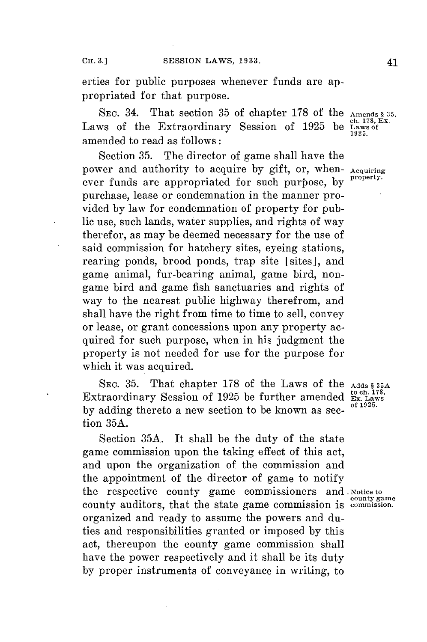erties for public purposes whenever funds are appropriated for that purpose.

SEC. 34. That section 35 of chapter 178 of the Amends § 35<br>Laws of the Extraordinary Session of 1925 be Laws of amended to read as follows:

Section **35.** The director of game shall have the power and authority to acquire by gift, or, when-  ${\rm Acquiring}_{\rm property.}$ ever funds are appropriated for such purpose, by purchase, lease or condemnation in the manner provided **by** law for condemnation of property for public use, such lands, water supplies, and rights of way therefor, as may be deemed necessary **for** the use of said commission for hatchery sites, eyeing stations, rearing ponds, brood ponds, trap site [sites], and game animal, fur-bearing animal, game bird, nongame bird and game fish sanctuaries and rights of way to the nearest public highway therefrom, and shall have the right from time to time to sell, convey or lease, or grant concessions upon any property acquired for such purpose, when in his judgment the property is not needed for use for the purpose for which it was acquired.

**SEC. 35.** That chapter **178** of the Laws of the **Adds § 35A** Extraordinary Session of 1925 be further amended **Ex. Laws**<br>Extraordinary Session of 1925 be further amended **Ex. Laws** by adding thereto a new section to be known as section **35A.**

Section **35A.** It shall be the duty of the state game commission upon the taking effect of this act, and upon the organization of the commission and the appointment of the director of game to notify the respective county game commissioners and. **Noticeto** county game<br>commission. county auditors, that the state game commission is organized and ready to assume the powers and duties and responsibilities granted or imposed **by** this act, thereupon the county game commission shall have the power respectively and it shall be its duty **by** proper instruments of conveyance in writing, to

**1925.**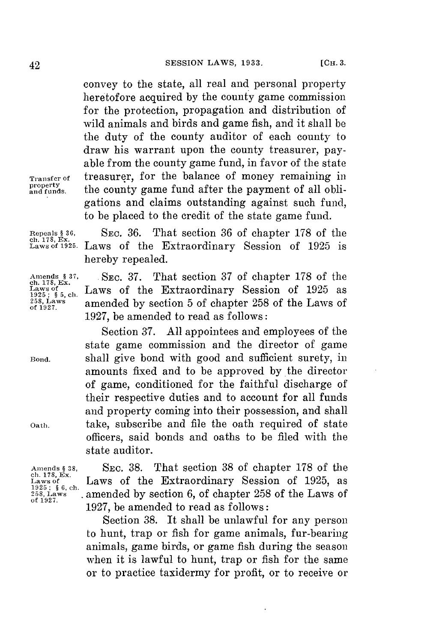convey to the state, all real and personal property heretofore acquired **by** the county game commission for the protection, propagation and distribution of wild animals and birds and game fish, and it shall be the duty of the county auditor of each county to draw his warrant upon the county treasurer, payable from the county game fund, in favor of the state Transfer of treasurer, for the balance of money remaining in property and funds. the county game fund after the payment of all obliproperty<br>and funds. the county game fund after the payment of all obligations and claims outstanding against such fund, to be placed to the credit of the state game fund.

ch. **178,** Ex.

Repeals **§ 36, SEC. 36.** That section **36** of chapter **178** of the Laws of **1925.** Laws of the Extraordinary Session of **1925** is hereby repealed.

**ch. 178,** Ex.

Amends § 37, SEC. 37. That section 37 of chapter 178 of the ch. 178, Ex. Ch. 178, Ex. Ch. Laws of the Extraordinary Session of 1925 as a chapter 258 Laws amended by section 5 of chapter 258 of the Laws of Laws of the Extraordinary Session of 1925 as 258,9ws amended **by** section **5** of chapter **258** of the Laws of **1927,** be amended to read as follows:

Section **37. All** appointees and employees of the state game commission and the director of game Bond. shall give bond with good and sufficient surety, in amounts fixed and to be approved **by** the director of game, conditioned for the faithful discharge of their respective duties and to account for all funds and property coming into their possession, and shall Oath, take, subscribe and file the oath required of state officers, said bonds and oaths to be filed with the state auditor.

Amends **§ 38, SEC. 38.** That section **38** of chapter **178** of the Extraordinary Session of **1925**, as  $\frac{1925}{258}$ ,  $\frac{6}{8}$ , ch. amended by section 6, of chapter 258 of the Laws of  $\frac{258}{258}$ , Laws  $\frac{1927}{258}$ . **258,** Laws amended **by** section **6,** of chapter **258** of the Laws of 1927, be amended to read as follows:

> Section **38.** It shall be unlawful for any person to hunt, trap or fish for game animals, fur-bearing animals, game birds, or game fish during the season when it is lawful to hunt, trap or fish for the same or to practice taxidermy for profit, or to receive or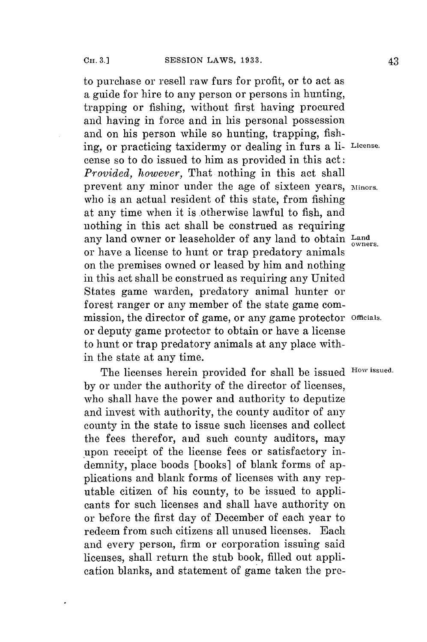to purchase or resell raw furs for profit, or to act as a guide **for** hire to any person or persons in hunting, trapping or fishing, without first having procured and having in force and in his personal possession and on his person while so hunting, trapping, fishing, or practicing taxidermy or dealing in furs a **li License.** cense so to do issued to him as provided in this act: *Provided, however,* That nothing in this act shall prevent any minor under the age of sixteen years, Minors. who is an actual resident of this state, from fishing at any time when it is otherwise lawful to fish, and nothing in this act shall be construed as requiring any land owner or leaseholder of any land to obtain Land or have a license to hunt or trap predatory animals on the premises owned or leased **by** him and nothing in this act shall be construed as requiring any United States game warden, predatory animal hunter or forest ranger or any member of the state game commission, the director of game, or any game protector **Officials.** or deputy game protector to obtain or have a license to hunt or trap predatory animals at any place within the state at any time.

The licenses herein provided for shall be issued **How issued. by** or under the authority of the director of licenses, who shall have the power and authority to deputize and invest with authority, the county auditor of any county in the state to issue such licenses and collect the fees therefor, and such county auditors, may upon receipt of the license fees or satisfactory indemnity, place boods [books] of blank forms of applications and blank forms of licenses with any reputable citizen of his county, to be issued to applicants for such licenses and shall have authority on or before the first day of December of each year to redeem from such citizens all unused licenses. Each and every person, firm or corporation issuing said licenses, shall return the stub book, filled out application blanks, and statement of game taken the pre-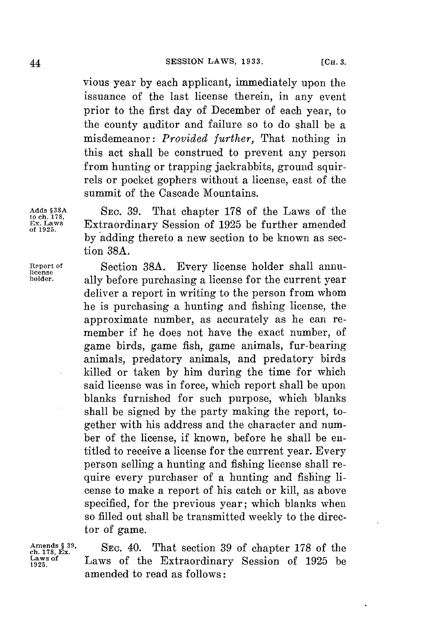vious year **by** each applicant, immediately upon the issuance of the last license therein, in any event prior to the first day of December of each year, to the county auditor and failure so to do shall be a misdemeanor: *Provided further,* That nothing in this act shall be construed to prevent any person from hunting or trapping jackrabbits, ground squirrels or pocket gophers without a license, east of the summit of the Cascade Mountains.

**Adds §38A SEC. 39.** That chapter **178** of the Laws of the **to ch. 178, Ex. Laws** Extraordinary Session of **1925** be further amended **of 1925. by** adding thereto a new section to be known as section **38A.**

**Report of** Section **38A.** Every license holder shall annu**holder,** ally before purchasing a license **for** the current year deliver a report in writing to the person from whom he is purchasing a hunting and fishing license, the approximate number, as accurately as he can remember if he does not have the exact number, of game birds, game fish, game animals, fur-bearing animals, predatory animals, and predatory birds killed or taken **by** him during the time **for** which said license was in force, which report shall be upon blanks furnished for such purpose, which blanks shall be signed **by** the party making the report, together with his address and the character and number of the license, if known, before he shall be entitled to receive a license **for** the current year. Every person selling a hunting and fishing license shall require every purchaser of a hunting and fishing license to make a report of his catch or kill, as above specified, for the previous year; which blanks when so filled out shall **be** transmitted weekly to the director of game.

Amends § <sup>39</sup>, SEC. 40. That section 39 of chapter 178 of the **chapter** 178 fcm. 178, Ex. **Laws** of the Extraordinary Session of 1925 be Laws of the Extraordinary Session of 1925 be amended to read as follows:

**license**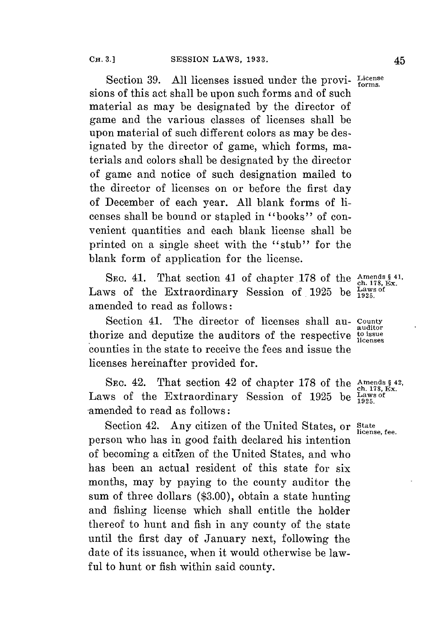Section 39. All licenses issued under the provi- License sions of this act shall be upon such forms and of such material as may be designated **by** the director of game and the various classes of licenses shall be upon material of such different colors as may be designated **by** the director of game, which forms, materials and colors shall be designated **by** the director of game and notice of such designation mailed to the director of licenses on or before the first day of December of each year. **All** blank forms of licenses shall **be** bound or stapled in "books" of convenient quantities and each blank license shall be printed on a single sheet with the "stub" for the blank form of application for the license.

SEC. 41. That section 41 of chapter 178 of the **Amends § 41**, Laws of the Extraordinary Session of 1925 be Laws of amended to read as follows:

Section 41. The director of licenses shall au- County **EXECUTE 1.1.** The director of hechoes shall an auditors and deputize the auditors of the respective to issue. counties in the state to receive the fees and issue the licenses hereinafter provided for.

SEC. 42. That section 42 of chapter 178 of the  $\Delta_{\text{ch. 178, EX.}}^{\text{Amends § 42}}$ Laws of the Extraordinary Session of 1925 be  $\frac{100}{1985}$ amended to read as follows:

Section 42. Any citizen of the United States, or State license, fee. person who has in good faith declared his intention of becoming a citrzen of the United States, and who has been an actual resident of this state for six months, may **by** paying to the county auditor the sum of three dollars **(\$3.00),** obtain a state hunting and fishing license which shall entitle the holder thereof to hunt and fish in any county of the state until the first day of January next, following the date of its issuance, when it would otherwise be lawful to hunt or fish within said county.